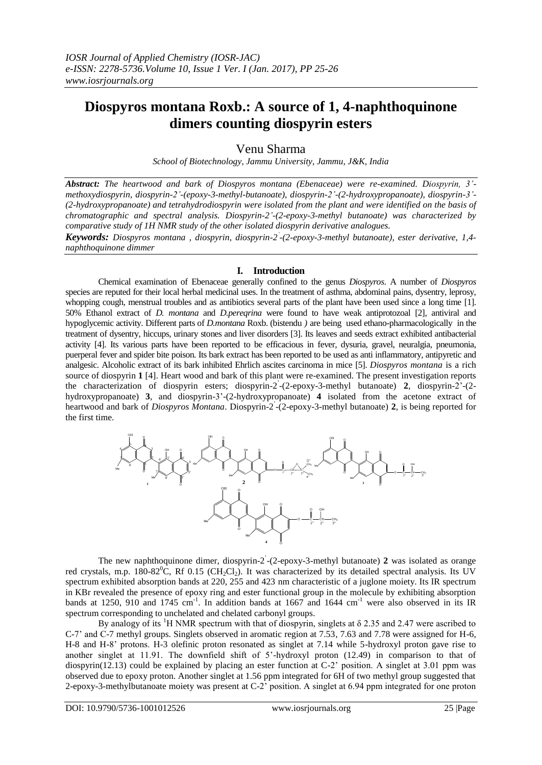# **Diospyros montana Roxb.: A source of 1, 4-naphthoquinone dimers counting diospyrin esters**

## Venu Sharma

*School of Biotechnology, Jammu University, Jammu, J&K, India*

*Abstract: The heartwood and bark of Diospyros montana (Ebenaceae) were re-examined. Diospyrin, 3' methoxydiospyrin, diospyrin-2'-(epoxy-3-methyl-butanoate), diospyrin-2'-(2-hydroxypropanoate), diospyrin-3'- (2-hydroxypropanoate) and tetrahydrodiospyrin were isolated from the plant and were identified on the basis of chromatographic and spectral analysis. Diospyrin-2'-(2-epoxy-3-methyl butanoate) was characterized by comparative study of 1H NMR study of the other isolated diospyrin derivative analogues.*

*Keywords: Diospyros montana , diospyrin, diospyrin-2 ' -(2-epoxy-3-methyl butanoate), ester derivative, 1,4 naphthoquinone dimmer*

### **I. Introduction**

Chemical examination of Ebenaceae generally confined to the genus *Diospyros*. A number of *Diospyros*  species are reputed for their local herbal medicinal uses. In the treatment of asthma, abdominal pains, dysentry, leprosy, whopping cough, menstrual troubles and as antibiotics several parts of the plant have been used since a long time [1]. 50% Ethanol extract of *D. montana* and *D.pereqrina* were found to have weak antiprotozoal [2], antiviral and hypoglycemic activity. Different parts of *D.montana* Roxb. (bistendu *)* are being used ethano-pharmacologically in the treatment of dysentry, hiccups, urinary stones and liver disorders [3]. Its leaves and seeds extract exhibited antibacterial activity [4]. Its various parts have been reported to be efficacious in fever, dysuria, gravel, neuralgia, pneumonia, puerperal fever and spider bite poison. Its bark extract has been reported to be used as anti inflammatory, antipyretic and analgesic. Alcoholic extract of its bark inhibited Ehrlich ascites carcinoma in mice [5]. *Diospyros montana* is a rich source of diospyrin **1** [4]. Heart wood and bark of this plant were re-examined. The present investigation reports the characterization of diospyrin esters; diospyrin-2 ' -(2-epoxy-3-methyl butanoate) **2**, diospyrin-2'-(2 hydroxypropanoate) **3**, and diospyrin-3'-(2-hydroxypropanoate) **4** isolated from the acetone extract of heartwood and bark of *Diospyros Montana*. Diospyrin-2 ' -(2-epoxy-3-methyl butanoate) **2**, is being reported for the first time.



The new naphthoquinone dimer, diospyrin-2 ' -(2-epoxy-3-methyl butanoate) **2** was isolated as orange red crystals, m.p.  $180-82^{\circ}$ C, Rf 0.15 (CH<sub>2</sub>Cl<sub>2</sub>). It was characterized by its detailed spectral analysis. Its UV spectrum exhibited absorption bands at 220, 255 and 423 nm characteristic of a juglone moiety. Its IR spectrum in KBr revealed the presence of epoxy ring and ester functional group in the molecule by exhibiting absorption bands at 1250, 910 and 1745 cm<sup>-1</sup>. In addition bands at 1667 and 1644 cm<sup>-1</sup> were also observed in its IR spectrum corresponding to unchelated and chelated carbonyl groups.

By analogy of its <sup>1</sup>H NMR spectrum with that of diospyrin, singlets at  $\delta$  2.35 and 2.47 were ascribed to C-7' and C-7 methyl groups. Singlets observed in aromatic region at 7.53, 7.63 and 7.78 were assigned for H-6, H-8 and H-8' protons. H-3 olefinic proton resonated as singlet at 7.14 while 5-hydroxyl proton gave rise to another singlet at 11.91. The downfield shift of 5'-hydroxyl proton (12.49) in comparison to that of diospyrin(12.13) could be explained by placing an ester function at C-2' position. A singlet at 3.01 ppm was observed due to epoxy proton. Another singlet at 1.56 ppm integrated for 6H of two methyl group suggested that 2-epoxy-3-methylbutanoate moiety was present at C-2' position. A singlet at 6.94 ppm integrated for one proton